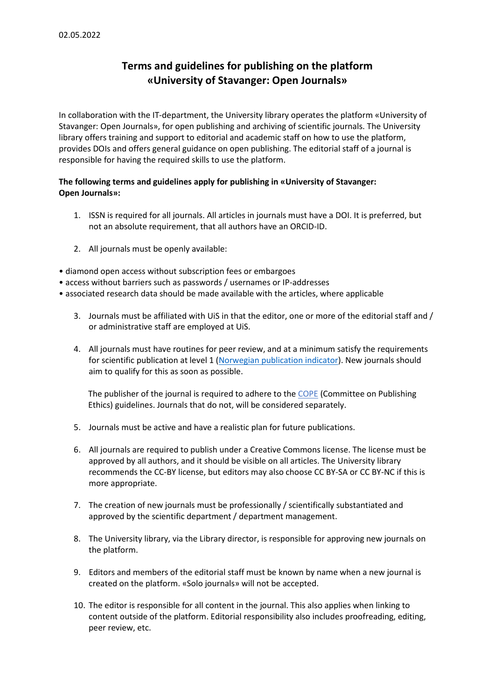## **Terms and guidelines for publishing on the platform «University of Stavanger: Open Journals»**

In collaboration with the IT-department, the University library operates the platform «University of Stavanger: Open Journals», for open publishing and archiving of scientific journals. The University library offers training and support to editorial and academic staff on how to use the platform, provides DOIs and offers general guidance on open publishing. The editorial staff of a journal is responsible for having the required skills to use the platform.

## **The following terms and guidelines apply for publishing in «University of Stavanger: Open Journals»:**

- 1. ISSN is required for all journals. All articles in journals must have a DOI. It is preferred, but not an absolute requirement, that all authors have an ORCID-ID.
- 2. All journals must be openly available:
- diamond open access without subscription fees or embargoes
- access without barriers such as passwords / usernames or IP-addresses
- associated research data should be made available with the articles, where applicable
	- 3. Journals must be affiliated with UiS in that the editor, one or more of the editorial staff and / or administrative staff are employed at UiS.
	- 4. All journals must have routines for peer review, and at a minimum satisfy the requirements for scientific publication at level 1 [\(Norwegian publication indicator\)](https://kanalregister.hkdir.no/publiseringskanaler/Forside.action?request_locale=en). New journals should aim to qualify for this as soon as possible.

The publisher of the journal is required to adhere to th[e COPE](https://publicationethics.org/core-practices/) (Committee on Publishing Ethics) guidelines. Journals that do not, will be considered separately.

- 5. Journals must be active and have a realistic plan for future publications.
- 6. All journals are required to publish under a Creative Commons license. The license must be approved by all authors, and it should be visible on all articles. The University library recommends the CC-BY license, but editors may also choose CC BY-SA or CC BY-NC if this is more appropriate.
- 7. The creation of new journals must be professionally / scientifically substantiated and approved by the scientific department / department management.
- 8. The University library, via the Library director, is responsible for approving new journals on the platform.
- 9. Editors and members of the editorial staff must be known by name when a new journal is created on the platform. «Solo journals» will not be accepted.
- 10. The editor is responsible for all content in the journal. This also applies when linking to content outside of the platform. Editorial responsibility also includes proofreading, editing, peer review, etc.